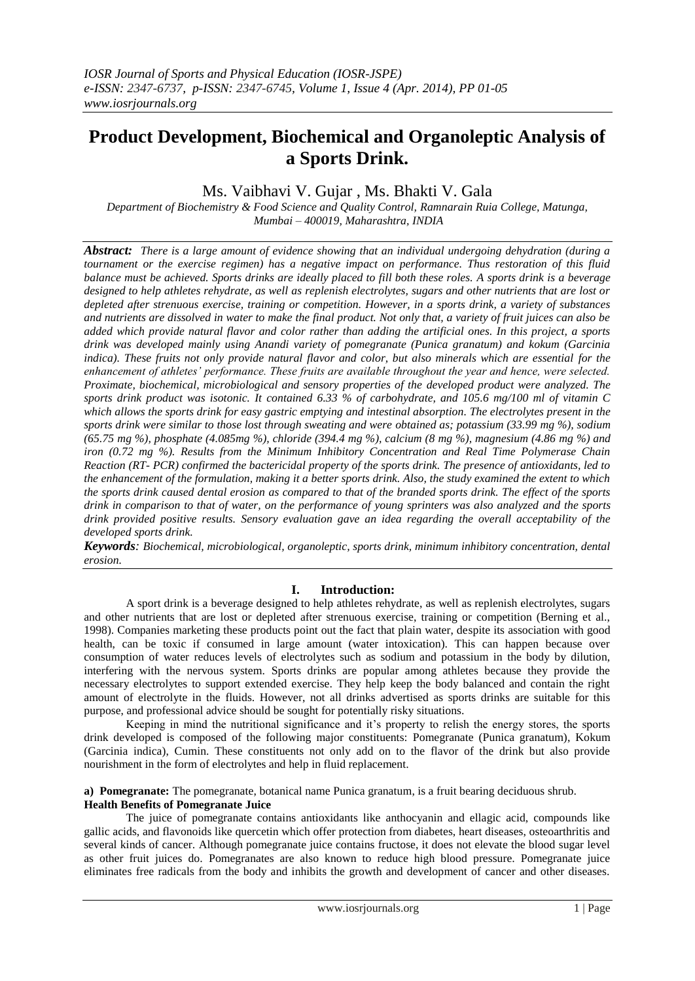# **Product Development, Biochemical and Organoleptic Analysis of a Sports Drink.**

## Ms. Vaibhavi V. Gujar , Ms. Bhakti V. Gala

*Department of Biochemistry & Food Science and Quality Control, Ramnarain Ruia College, Matunga, Mumbai – 400019, Maharashtra, INDIA*

*Abstract: There is a large amount of evidence showing that an individual undergoing dehydration (during a tournament or the exercise regimen) has a negative impact on performance. Thus restoration of this fluid balance must be achieved. Sports drinks are ideally placed to fill both these roles. A sports drink is a beverage designed to help athletes rehydrate, as well as replenish electrolytes, sugars and other nutrients that are lost or depleted after strenuous exercise, training or competition. However, in a sports drink, a variety of substances and nutrients are dissolved in water to make the final product. Not only that, a variety of fruit juices can also be added which provide natural flavor and color rather than adding the artificial ones. In this project, a sports drink was developed mainly using Anandi variety of pomegranate (Punica granatum) and kokum (Garcinia indica). These fruits not only provide natural flavor and color, but also minerals which are essential for the enhancement of athletes' performance. These fruits are available throughout the year and hence, were selected. Proximate, biochemical, microbiological and sensory properties of the developed product were analyzed. The sports drink product was isotonic. It contained 6.33 % of carbohydrate, and 105.6 mg/100 ml of vitamin C which allows the sports drink for easy gastric emptying and intestinal absorption. The electrolytes present in the sports drink were similar to those lost through sweating and were obtained as; potassium (33.99 mg %), sodium (65.75 mg %), phosphate (4.085mg %), chloride (394.4 mg %), calcium (8 mg %), magnesium (4.86 mg %) and iron (0.72 mg %). Results from the Minimum Inhibitory Concentration and Real Time Polymerase Chain Reaction (RT- PCR) confirmed the bactericidal property of the sports drink. The presence of antioxidants, led to the enhancement of the formulation, making it a better sports drink. Also, the study examined the extent to which the sports drink caused dental erosion as compared to that of the branded sports drink. The effect of the sports drink in comparison to that of water, on the performance of young sprinters was also analyzed and the sports drink provided positive results. Sensory evaluation gave an idea regarding the overall acceptability of the developed sports drink.* 

*Keywords: Biochemical, microbiological, organoleptic, sports drink, minimum inhibitory concentration, dental erosion.*

## **I. Introduction:**

 A sport drink is a beverage designed to help athletes rehydrate, as well as replenish electrolytes, sugars and other nutrients that are lost or depleted after strenuous exercise, training or competition (Berning et al., 1998). Companies marketing these products point out the fact that plain water, despite its association with good health, can be toxic if consumed in large amount (water intoxication). This can happen because over consumption of water reduces levels of electrolytes such as sodium and potassium in the body by dilution, interfering with the nervous system. Sports drinks are popular among athletes because they provide the necessary electrolytes to support extended exercise. They help keep the body balanced and contain the right amount of electrolyte in the fluids. However, not all drinks advertised as sports drinks are suitable for this purpose, and professional advice should be sought for potentially risky situations.

 Keeping in mind the nutritional significance and it's property to relish the energy stores, the sports drink developed is composed of the following major constituents: Pomegranate (Punica granatum), Kokum (Garcinia indica), Cumin. These constituents not only add on to the flavor of the drink but also provide nourishment in the form of electrolytes and help in fluid replacement.

#### **a) Pomegranate:** The pomegranate, botanical name Punica granatum, is a fruit bearing deciduous shrub. **Health Benefits of Pomegranate Juice**

The juice of pomegranate contains antioxidants like anthocyanin and ellagic acid, compounds like gallic acids, and flavonoids like quercetin which offer protection from diabetes, heart diseases, osteoarthritis and several kinds of cancer. Although pomegranate juice contains fructose, it does not elevate the blood sugar level as other fruit juices do. Pomegranates are also known to reduce high blood pressure. Pomegranate juice eliminates free radicals from the body and inhibits the growth and development of cancer and other diseases.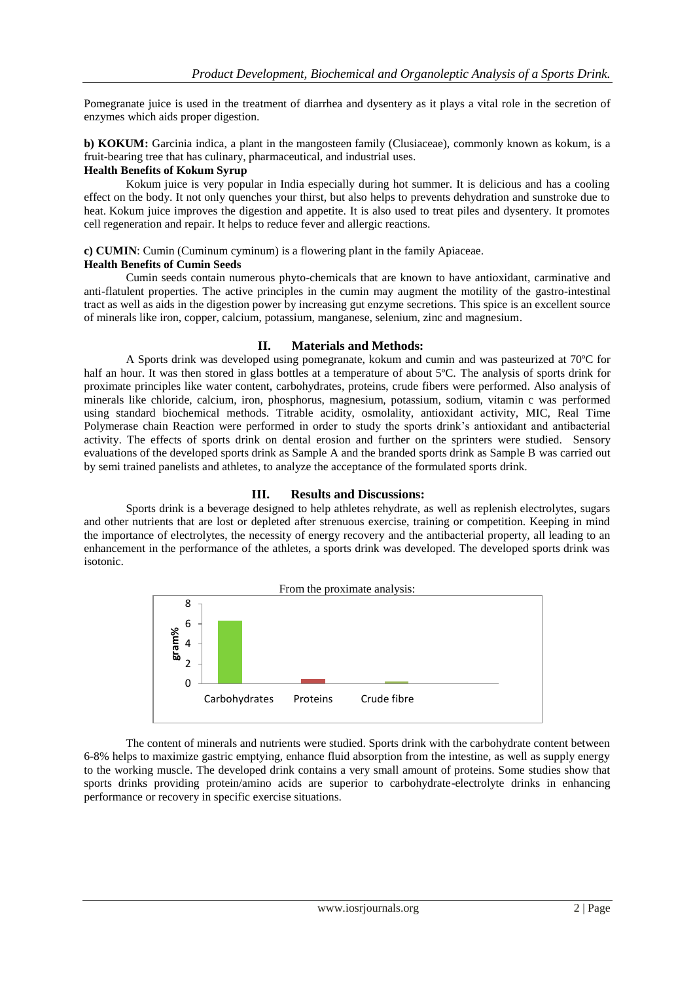Pomegranate juice is used in the treatment of diarrhea and dysentery as it plays a vital role in the secretion of enzymes which aids proper digestion.

**b) KOKUM:** Garcinia indica, a plant in the mangosteen family (Clusiaceae), commonly known as kokum, is a fruit-bearing tree that has culinary, pharmaceutical, and industrial uses.

#### **Health Benefits of Kokum Syrup**

 Kokum juice is very popular in India especially during hot summer. It is delicious and has a cooling effect on the body. It not only quenches your thirst, but also helps to prevents dehydration and sunstroke due to heat. Kokum juice improves the digestion and appetite. It is also used to treat piles and dysentery. It promotes cell regeneration and repair. It helps to reduce fever and allergic reactions.

**c) CUMIN**: Cumin (Cuminum cyminum) is a flowering plant in the family Apiaceae.

#### **Health Benefits of Cumin Seeds**

 Cumin seeds contain numerous phyto-chemicals that are known to have antioxidant, carminative and anti-flatulent properties. The active principles in the cumin may augment the motility of the gastro-intestinal tract as well as aids in the digestion power by increasing gut enzyme secretions. This spice is an excellent source of minerals like iron, copper, calcium, potassium, manganese, selenium, zinc and magnesium.

## **II. Materials and Methods:**

 A Sports drink was developed using pomegranate, kokum and cumin and was pasteurized at 70ºC for half an hour. It was then stored in glass bottles at a temperature of about 5°C. The analysis of sports drink for proximate principles like water content, carbohydrates, proteins, crude fibers were performed. Also analysis of minerals like chloride, calcium, iron, phosphorus, magnesium, potassium, sodium, vitamin c was performed using standard biochemical methods. Titrable acidity, osmolality, antioxidant activity, MIC, Real Time Polymerase chain Reaction were performed in order to study the sports drink's antioxidant and antibacterial activity. The effects of sports drink on dental erosion and further on the sprinters were studied. Sensory evaluations of the developed sports drink as Sample A and the branded sports drink as Sample B was carried out by semi trained panelists and athletes, to analyze the acceptance of the formulated sports drink.

## **III. Results and Discussions:**

 Sports drink is a beverage designed to help athletes rehydrate, as well as replenish electrolytes, sugars and other nutrients that are lost or depleted after strenuous exercise, training or competition. Keeping in mind the importance of electrolytes, the necessity of energy recovery and the antibacterial property, all leading to an enhancement in the performance of the athletes, a sports drink was developed. The developed sports drink was isotonic.



 The content of minerals and nutrients were studied. Sports drink with the carbohydrate content between 6-8% helps to maximize gastric emptying, enhance fluid absorption from the intestine, as well as supply energy to the working muscle. The developed drink contains a very small amount of proteins. Some studies show that sports drinks providing protein/amino acids are superior to carbohydrate-electrolyte drinks in enhancing performance or recovery in specific exercise situations.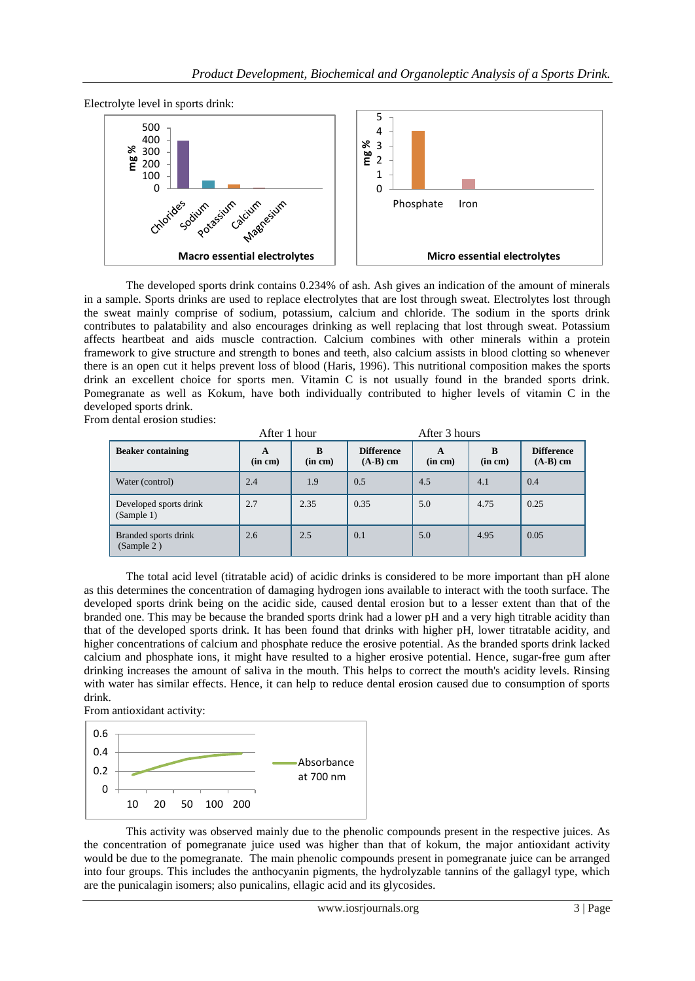

 The developed sports drink contains 0.234% of ash. Ash gives an indication of the amount of minerals in a sample. Sports drinks are used to replace electrolytes that are lost through sweat. Electrolytes lost through the sweat mainly comprise of sodium, potassium, calcium and chloride. The sodium in the sports drink contributes to palatability and also encourages drinking as well replacing that lost through sweat. Potassium affects heartbeat and aids muscle contraction. Calcium combines with other minerals within a protein framework to give structure and strength to bones and teeth, also calcium assists in blood clotting so whenever there is an open cut it helps prevent loss of blood (Haris, 1996). This nutritional composition makes the sports drink an excellent choice for sports men. Vitamin C is not usually found in the branded sports drink. Pomegranate as well as Kokum, have both individually contributed to higher levels of vitamin C in the developed sports drink.

From dental erosion studies:

|                                      | After 1 hour |              | After 3 hours                   |              |              |                                 |
|--------------------------------------|--------------|--------------|---------------------------------|--------------|--------------|---------------------------------|
| <b>Beaker containing</b>             | A<br>(in cm) | B<br>(in cm) | <b>Difference</b><br>$(A-B)$ cm | A<br>(in cm) | B<br>(in cm) | <b>Difference</b><br>$(A-B)$ cm |
| Water (control)                      | 2.4          | 1.9          | 0.5                             | 4.5          | 4.1          | 0.4                             |
| Developed sports drink<br>(Sample 1) | 2.7          | 2.35         | 0.35                            | 5.0          | 4.75         | 0.25                            |
| Branded sports drink<br>(Sample 2)   | 2.6          | 2.5          | 0.1                             | 5.0          | 4.95         | 0.05                            |

The total acid level (titratable acid) of acidic drinks is considered to be more important than pH alone as this determines the concentration of damaging hydrogen ions available to interact with the tooth surface. The developed sports drink being on the acidic side, caused dental erosion but to a lesser extent than that of the branded one. This may be because the branded sports drink had a lower pH and a very high titrable acidity than that of the developed sports drink. It has been found that drinks with higher pH, lower titratable acidity, and higher concentrations of calcium and phosphate reduce the erosive potential. As the branded sports drink lacked calcium and phosphate ions, it might have resulted to a higher erosive potential. Hence, sugar-free gum after drinking increases the amount of saliva in the mouth. This helps to correct the mouth's acidity levels. Rinsing with water has similar effects. Hence, it can help to reduce dental erosion caused due to consumption of sports drink.

From antioxidant activity:



This activity was observed mainly due to the phenolic compounds present in the respective juices. As the concentration of pomegranate juice used was higher than that of kokum, the major antioxidant activity would be due to the pomegranate. The main phenolic compounds present in pomegranate juice can be arranged into four groups. This includes the anthocyanin pigments, the hydrolyzable tannins of the gallagyl type, which are the punicalagin isomers; also punicalins, ellagic acid and its glycosides.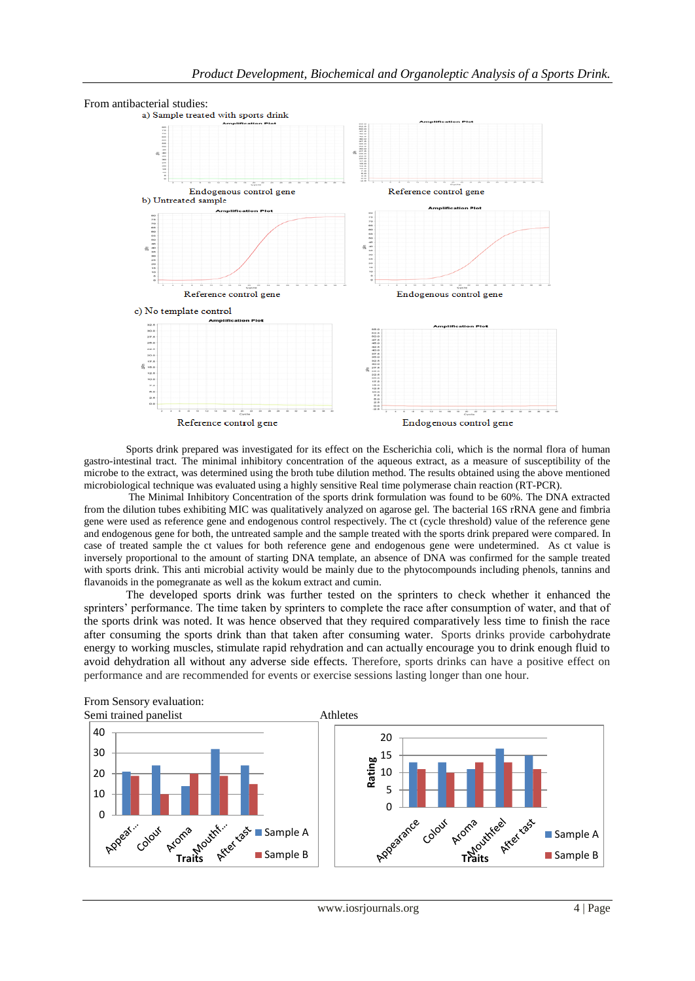

 Sports drink prepared was investigated for its effect on the Escherichia coli, which is the normal flora of human gastro-intestinal tract. The minimal inhibitory concentration of the aqueous extract, as a measure of susceptibility of the microbe to the extract, was determined using the broth tube dilution method. The results obtained using the above mentioned microbiological technique was evaluated using a highly sensitive Real time polymerase chain reaction (RT-PCR).

The Minimal Inhibitory Concentration of the sports drink formulation was found to be 60%. The DNA extracted from the dilution tubes exhibiting MIC was qualitatively analyzed on agarose gel. The bacterial 16S rRNA gene and fimbria gene were used as reference gene and endogenous control respectively. The ct (cycle threshold) value of the reference gene and endogenous gene for both, the untreated sample and the sample treated with the sports drink prepared were compared. In case of treated sample the ct values for both reference gene and endogenous gene were undetermined. As ct value is inversely proportional to the amount of starting DNA template, an absence of DNA was confirmed for the sample treated with sports drink. This anti microbial activity would be mainly due to the phytocompounds including phenols, tannins and flavanoids in the pomegranate as well as the kokum extract and cumin.

 The developed sports drink was further tested on the sprinters to check whether it enhanced the sprinters' performance. The time taken by sprinters to complete the race after consumption of water, and that of the sports drink was noted. It was hence observed that they required comparatively less time to finish the race after consuming the sports drink than that taken after consuming water. Sports drinks provide carbohydrate energy to working muscles, stimulate rapid rehydration and can actually encourage you to drink enough fluid to avoid dehydration all without any adverse side effects. Therefore, sports drinks can have a positive effect on performance and are recommended for events or exercise sessions lasting longer than one hour.



From Sensory evaluation:

www.iosrjournals.org 4 | Page